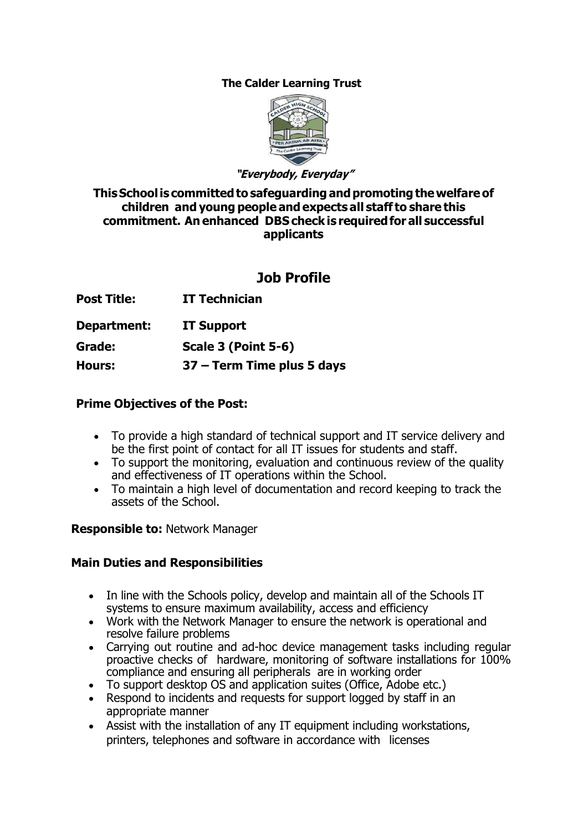### **The Calder Learning Trust**



**"Everybody, Everyday"**

**This School is committed to safeguarding and promoting the welfare of children and young people and expects all staff to share this commitment. An enhanced DBS check is required for all successful applicants** 

# **Job Profile**

- **Post Title: IT Technician**
- **Department: IT Support**

**Grade: Scale 3 (Point 5-6)**

**Hours: 37 – Term Time plus 5 days** 

### **Prime Objectives of the Post:**

- To provide a high standard of technical support and IT service delivery and be the first point of contact for all IT issues for students and staff.
- To support the monitoring, evaluation and continuous review of the quality and effectiveness of IT operations within the School.
- To maintain a high level of documentation and record keeping to track the assets of the School.

#### **Responsible to:** Network Manager

## **Main Duties and Responsibilities**

- In line with the Schools policy, develop and maintain all of the Schools IT systems to ensure maximum availability, access and efficiency
- Work with the Network Manager to ensure the network is operational and resolve failure problems
- Carrying out routine and ad-hoc device management tasks including regular proactive checks of hardware, monitoring of software installations for 100% compliance and ensuring all peripherals are in working order
- To support desktop OS and application suites (Office, Adobe etc.)
- Respond to incidents and requests for support logged by staff in an appropriate manner
- Assist with the installation of any IT equipment including workstations, printers, telephones and software in accordance with licenses